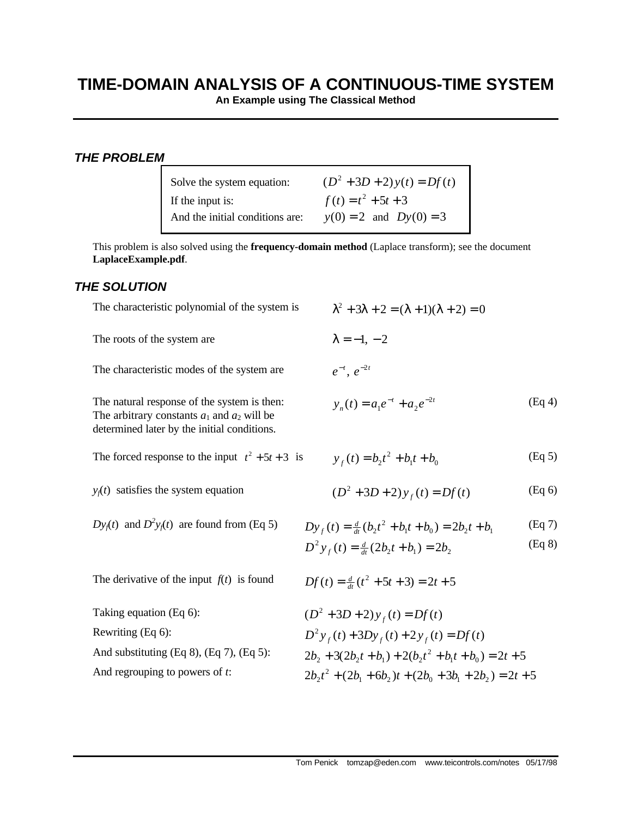## **TIME-DOMAIN ANALYSIS OF A CONTINUOUS-TIME SYSTEM**

**An Example using The Classical Method**

## *THE PROBLEM*

| Solve the system equation:      | $(D^2 + 3D + 2)y(t) = Df(t)$ |
|---------------------------------|------------------------------|
| If the input is:                | $f(t) = t^2 + 5t + 3$        |
| And the initial conditions are: | $y(0) = 2$ and $Dy(0) = 3$   |

This problem is also solved using the **frequency-domain method** (Laplace transform); see the document **LaplaceExample.pdf**.

## *THE SOLUTION*

| The characteristic polynomial of the system is                                                                                                | $\lambda^2 + 3\lambda + 2 = (\lambda + 1)(\lambda + 2) = 0$                                                                |                  |
|-----------------------------------------------------------------------------------------------------------------------------------------------|----------------------------------------------------------------------------------------------------------------------------|------------------|
| The roots of the system are                                                                                                                   | $\lambda = -1, -2$                                                                                                         |                  |
| The characteristic modes of the system are                                                                                                    | $e^{-t}$ , $e^{-2t}$                                                                                                       |                  |
| The natural response of the system is then:<br>The arbitrary constants $a_1$ and $a_2$ will be<br>determined later by the initial conditions. | $y_n(t) = a_1 e^{-t} + a_2 e^{-2t}$                                                                                        | (Eq 4)           |
| The forced response to the input $t^2 + 5t + 3$ is                                                                                            | $y_{t}(t) = b_2 t^2 + b_1 t + b_0$                                                                                         | (Eq 5)           |
| $y_i(t)$ satisfies the system equation                                                                                                        | $(D^2 + 3D + 2)y_f(t) = Df(t)$                                                                                             | (Eq 6)           |
| $Dy_1(t)$ and $D^2y_1(t)$ are found from (Eq 5)                                                                                               | $Dy_{f}(t) = \frac{d}{dt}(b_2t^2 + b_1t + b_0) = 2b_2t + b_1$<br>$D^{2} y_{t}(t) = \frac{d}{dt}(2b_{2}t + b_{1}) = 2b_{2}$ | (Eq 7)<br>(Eq 8) |
| The derivative of the input $f(t)$ is found                                                                                                   | $Df(t) = \frac{d}{dt}(t^2 + 5t + 3) = 2t + 5$                                                                              |                  |
| Taking equation (Eq 6):                                                                                                                       | $(D^2 + 3D + 2)y_f(t) = Df(t)$                                                                                             |                  |
| Rewriting (Eq 6):                                                                                                                             | $D^{2}y_{f}(t) + 3Dy_{f}(t) + 2y_{f}(t) = Df(t)$                                                                           |                  |
| And substituting $(Eq 8)$ , $(Eq 7)$ , $(Eq 5)$ :                                                                                             | $2b_1 + 3(2b_1t + b_1) + 2(b_1t^2 + b_1t + b_0) = 2t + 5$                                                                  |                  |
| And regrouping to powers of $t$ :                                                                                                             | $2b_1t^2 + (2b_1 + 6b_2)t + (2b_0 + 3b_1 + 2b_2) = 2t + 5$                                                                 |                  |